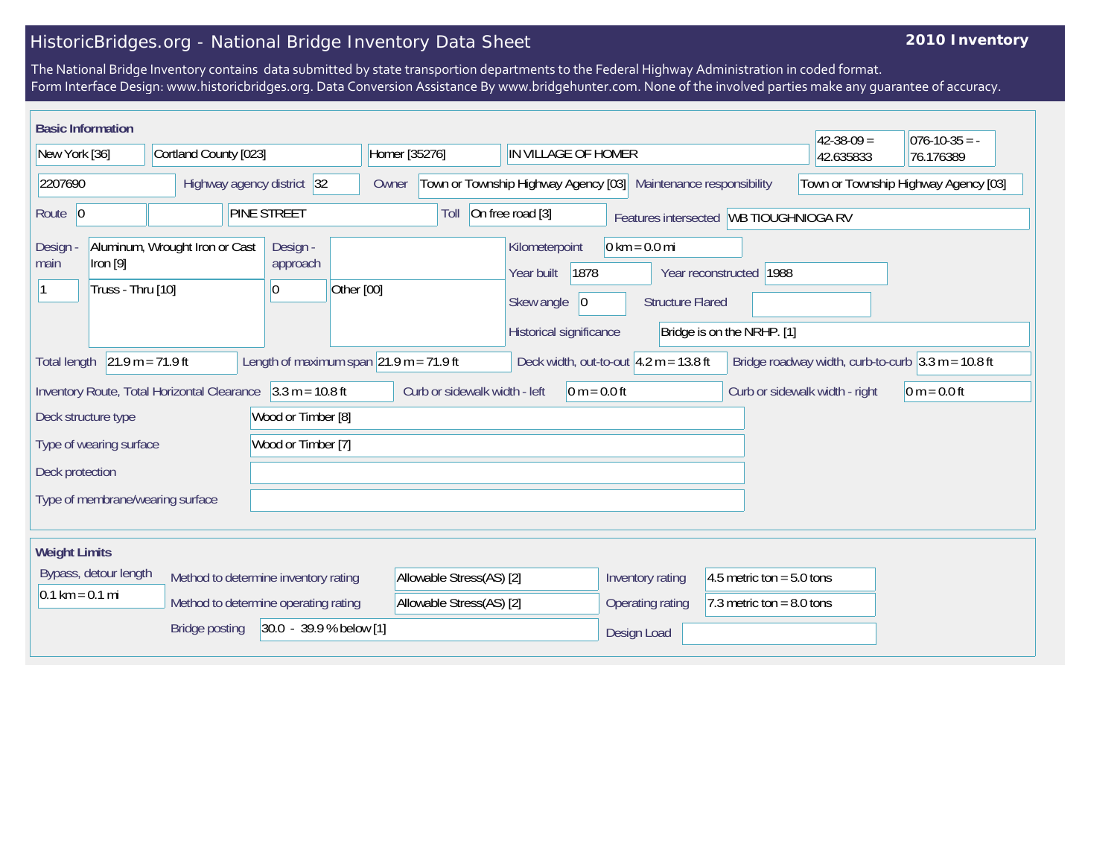## HistoricBridges.org - National Bridge Inventory Data Sheet

## **2010 Inventory**

The National Bridge Inventory contains data submitted by state transportion departments to the Federal Highway Administration in coded format. Form Interface Design: www.historicbridges.org. Data Conversion Assistance By www.bridgehunter.com. None of the involved parties make any guarantee of accuracy.

| <b>Basic Information</b>                                                                                 |  |                            |                                      |                                          |                                    |                                                                             |  |                                                                                                                                                                                                                       |                     |                                |                                                                      |                                      | $42 - 38 - 09 =$ | $076 - 10 - 35 = -$ |
|----------------------------------------------------------------------------------------------------------|--|----------------------------|--------------------------------------|------------------------------------------|------------------------------------|-----------------------------------------------------------------------------|--|-----------------------------------------------------------------------------------------------------------------------------------------------------------------------------------------------------------------------|---------------------|--------------------------------|----------------------------------------------------------------------|--------------------------------------|------------------|---------------------|
| New York [36]                                                                                            |  | Cortland County [023]      |                                      |                                          |                                    | Homer [35276]                                                               |  |                                                                                                                                                                                                                       | IN VILLAGE OF HOMER |                                |                                                                      |                                      | 42.635833        | 76.176389           |
| 2207690                                                                                                  |  | Highway agency district 32 |                                      |                                          |                                    | Town or Township Highway Agency [03]<br>Maintenance responsibility<br>Owner |  |                                                                                                                                                                                                                       |                     |                                |                                                                      | Town or Township Highway Agency [03] |                  |                     |
| Route $\vert 0 \vert$                                                                                    |  |                            |                                      | <b>PINE STREET</b>                       |                                    | On free road [3]<br>Toll<br>Features intersected   WB TIOUGHNIOGA RV        |  |                                                                                                                                                                                                                       |                     |                                |                                                                      |                                      |                  |                     |
| Design<br>$ $ ron [9]<br>main<br>Truss - Thru [10]                                                       |  |                            | Aluminum, Wrought Iron or Cast       |                                          | Design -<br>approach<br>Other [00] |                                                                             |  | $0 \text{ km} = 0.0 \text{ mi}$<br>Kilometerpoint<br>1878<br>Year reconstructed   1988<br>Year built<br>Skew angle<br><b>Structure Flared</b><br>$ 0\rangle$<br>Historical significance<br>Bridge is on the NRHP. [1] |                     |                                |                                                                      |                                      |                  |                     |
| $21.9 m = 71.9 ft$<br>Length of maximum span $ 21.9 \text{ m} = 71.9 \text{ ft} $<br><b>Total length</b> |  |                            |                                      | Deck width, out-to-out $4.2 m = 13.8 ft$ |                                    |                                                                             |  |                                                                                                                                                                                                                       |                     |                                | Bridge roadway width, curb-to-curb $3.3 \text{ m} = 10.8 \text{ ft}$ |                                      |                  |                     |
| $3.3 m = 10.8 ft$<br>Inventory Route, Total Horizontal Clearance                                         |  |                            | Curb or sidewalk width - left        |                                          |                                    | 0 m = $0.0$ ft                                                              |  |                                                                                                                                                                                                                       |                     | Curb or sidewalk width - right | $0 m = 0.0 ft$                                                       |                                      |                  |                     |
| Wood or Timber [8]<br>Deck structure type                                                                |  |                            |                                      |                                          |                                    |                                                                             |  |                                                                                                                                                                                                                       |                     |                                |                                                                      |                                      |                  |                     |
| Type of wearing surface                                                                                  |  |                            | Wood or Timber [7]                   |                                          |                                    |                                                                             |  |                                                                                                                                                                                                                       |                     |                                |                                                                      |                                      |                  |                     |
| Deck protection                                                                                          |  |                            |                                      |                                          |                                    |                                                                             |  |                                                                                                                                                                                                                       |                     |                                |                                                                      |                                      |                  |                     |
| Type of membrane/wearing surface                                                                         |  |                            |                                      |                                          |                                    |                                                                             |  |                                                                                                                                                                                                                       |                     |                                |                                                                      |                                      |                  |                     |
| <b>Weight Limits</b>                                                                                     |  |                            |                                      |                                          |                                    |                                                                             |  |                                                                                                                                                                                                                       |                     |                                |                                                                      |                                      |                  |                     |
| Bypass, detour length<br>Method to determine inventory rating                                            |  |                            |                                      |                                          | Allowable Stress(AS) [2]           |                                                                             |  |                                                                                                                                                                                                                       | Inventory rating    |                                | 4.5 metric ton = $5.0$ tons                                          |                                      |                  |                     |
| $0.1 \text{ km} = 0.1 \text{ mi}$                                                                        |  |                            | Method to determine operating rating |                                          |                                    | Allowable Stress(AS) [2]                                                    |  |                                                                                                                                                                                                                       |                     | Operating rating               |                                                                      | 7.3 metric ton = $8.0$ tons          |                  |                     |
|                                                                                                          |  | <b>Bridge posting</b>      |                                      | 30.0 - 39.9 % below [1]                  |                                    |                                                                             |  |                                                                                                                                                                                                                       |                     | Design Load                    |                                                                      |                                      |                  |                     |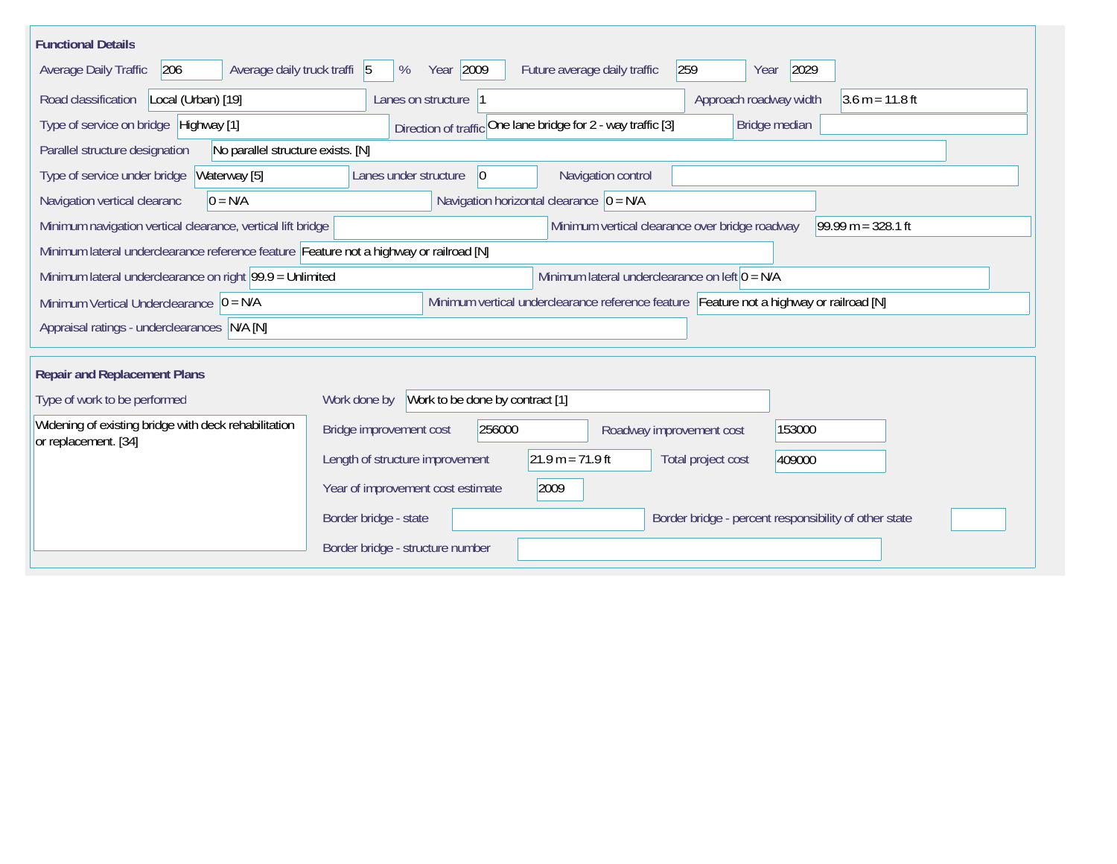| <b>Functional Details</b>                                                                                                             |                                                                                       |  |  |  |  |  |  |  |  |
|---------------------------------------------------------------------------------------------------------------------------------------|---------------------------------------------------------------------------------------|--|--|--|--|--|--|--|--|
| 206<br>Average daily truck traffi 5<br>Average Daily Traffic                                                                          | Year 2009<br>259<br>2029<br>Future average daily traffic<br>%<br>Year                 |  |  |  |  |  |  |  |  |
| Road classification<br>Local (Urban) [19]                                                                                             | Lanes on structure  1<br>Approach roadway width<br>$3.6 m = 11.8 ft$                  |  |  |  |  |  |  |  |  |
| Type of service on bridge   Highway [1]                                                                                               | Direction of traffic One lane bridge for 2 - way traffic [3]<br>Bridge median         |  |  |  |  |  |  |  |  |
| No parallel structure exists. [N]<br>Parallel structure designation                                                                   |                                                                                       |  |  |  |  |  |  |  |  |
| Waterway [5]<br>Type of service under bridge                                                                                          | Navigation control<br>Lanes under structure<br> 0                                     |  |  |  |  |  |  |  |  |
| $0 = N/A$<br>Navigation vertical clearanc                                                                                             | Navigation horizontal clearance $ 0 = N/A$                                            |  |  |  |  |  |  |  |  |
| Minimum navigation vertical clearance, vertical lift bridge                                                                           | Minimum vertical clearance over bridge roadway<br>$99.99 m = 328.1 ft$                |  |  |  |  |  |  |  |  |
| Minimum lateral underclearance reference feature Feature not a highway or railroad [N]                                                |                                                                                       |  |  |  |  |  |  |  |  |
| Minimum lateral underclearance on left $0 = N/A$<br>Minimum lateral underclearance on right $99.9 =$ Unlimited                        |                                                                                       |  |  |  |  |  |  |  |  |
| Minimum vertical underclearance reference feature Feature not a highway or railroad [N]<br>Minimum Vertical Underclearance $ 0 = N/A$ |                                                                                       |  |  |  |  |  |  |  |  |
| Appraisal ratings - underclearances N/A [N]                                                                                           |                                                                                       |  |  |  |  |  |  |  |  |
|                                                                                                                                       |                                                                                       |  |  |  |  |  |  |  |  |
| <b>Repair and Replacement Plans</b>                                                                                                   |                                                                                       |  |  |  |  |  |  |  |  |
| Type of work to be performed                                                                                                          | Work to be done by contract [1]<br>Work done by                                       |  |  |  |  |  |  |  |  |
| Widening of existing bridge with deck rehabilitation<br>or replacement. [34]                                                          | 256000<br>153000<br>Bridge improvement cost<br>Roadway improvement cost               |  |  |  |  |  |  |  |  |
|                                                                                                                                       | $21.9 m = 71.9 ft$<br>Length of structure improvement<br>Total project cost<br>409000 |  |  |  |  |  |  |  |  |
|                                                                                                                                       | 2009<br>Year of improvement cost estimate                                             |  |  |  |  |  |  |  |  |
|                                                                                                                                       | Border bridge - state<br>Border bridge - percent responsibility of other state        |  |  |  |  |  |  |  |  |
|                                                                                                                                       | Border bridge - structure number                                                      |  |  |  |  |  |  |  |  |